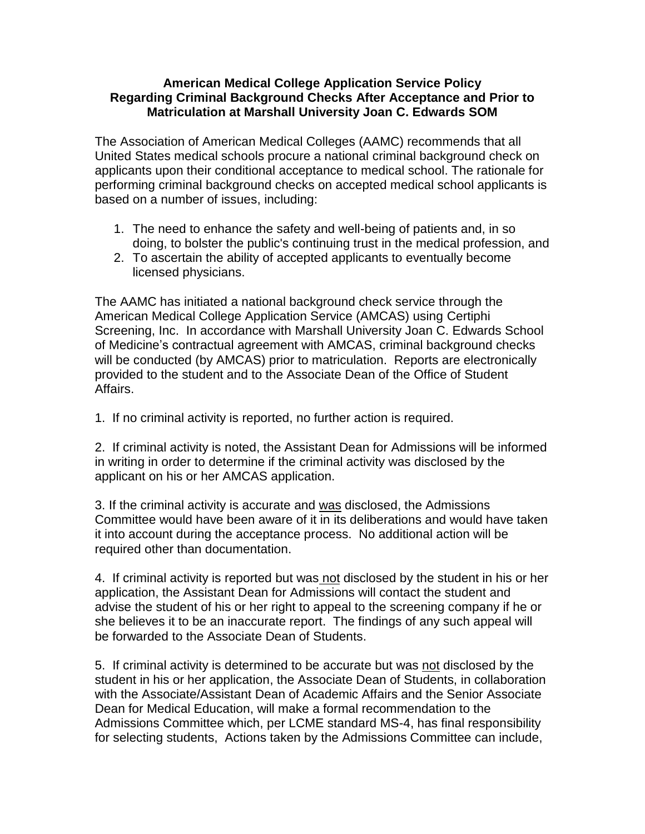## **American Medical College Application Service Policy Regarding Criminal Background Checks After Acceptance and Prior to Matriculation at Marshall University Joan C. Edwards SOM**

The Association of American Medical Colleges (AAMC) recommends that all United States medical schools procure a national criminal background check on applicants upon their conditional acceptance to medical school. The rationale for performing criminal background checks on accepted medical school applicants is based on a number of issues, including:

- 1. The need to enhance the safety and well-being of patients and, in so doing, to bolster the public's continuing trust in the medical profession, and
- 2. To ascertain the ability of accepted applicants to eventually become licensed physicians.

The AAMC has initiated a national background check service through the American Medical College Application Service (AMCAS) using Certiphi Screening, Inc. In accordance with Marshall University Joan C. Edwards School of Medicine's contractual agreement with AMCAS, criminal background checks will be conducted (by AMCAS) prior to matriculation. Reports are electronically provided to the student and to the Associate Dean of the Office of Student Affairs.

1. If no criminal activity is reported, no further action is required.

2. If criminal activity is noted, the Assistant Dean for Admissions will be informed in writing in order to determine if the criminal activity was disclosed by the applicant on his or her AMCAS application.

3. If the criminal activity is accurate and was disclosed, the Admissions Committee would have been aware of it in its deliberations and would have taken it into account during the acceptance process. No additional action will be required other than documentation.

4. If criminal activity is reported but was not disclosed by the student in his or her application, the Assistant Dean for Admissions will contact the student and advise the student of his or her right to appeal to the screening company if he or she believes it to be an inaccurate report. The findings of any such appeal will be forwarded to the Associate Dean of Students.

5. If criminal activity is determined to be accurate but was not disclosed by the student in his or her application, the Associate Dean of Students, in collaboration with the Associate/Assistant Dean of Academic Affairs and the Senior Associate Dean for Medical Education, will make a formal recommendation to the Admissions Committee which, per LCME standard MS-4, has final responsibility for selecting students, Actions taken by the Admissions Committee can include,